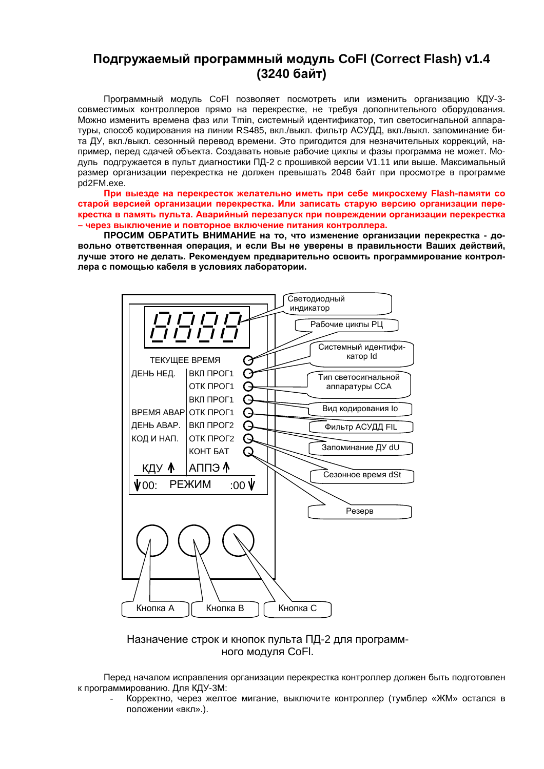# Подгружаемый программный модуль CoFI (Correct Flash) v1.4 (3240 байт)

Программный модуль СоЕІ позволяет посмотреть или изменить организацию КДУ-3совместимых контроллеров прямо на перекрестке, не требуя дополнительного оборудования. Можно изменить времена фаз или Tmin, системный идентификатор, тип светосигнальной аппаратуры, способ кодирования на линии RS485, вкл./выкл. фильтр АСУДД, вкл./выкл. запоминание бита ДУ, вкл./выкл. сезонный перевод времени. Это пригодится для незначительных коррекций, например, перед сдачей объекта. Создавать новые рабочие циклы и фазы программа не может. Модуль подгружается в пульт диагностики ПД-2 с прошивкой версии V1.11 или выше. Максимальный размер организации перекрестка не должен превышать 2048 байт при просмотре в программе pd2FM.exe.

При выезде на перекресток желательно иметь при себе микросхему Flash-памяти со старой версией организации перекрестка. Или записать старую версию организации перекрестка в память пульта. Аварийный перезапуск при повреждении организации перекрестка - через выключение и повторное включение питания контроллера.

ПРОСИМ ОБРАТИТЬ ВНИМАНИЕ на то, что изменение организации перекрестка - довольно ответственная операция, и если Вы не уверены в правильности Ваших действий. лучше этого не делать. Рекомендуем предварительно освоить программирование контроллера с помошью кабеля в условиях лаборатории.



Назначение строк и кнопок пульта ПД-2 для программного модуля CoFI.

Перед началом исправления организации перекрестка контроллер должен быть подготовлен к программированию. Для КДУ-3М:

Корректно, через желтое мигание, выключите контроллер (тумблер «ЖМ» остался в положении «вкл».).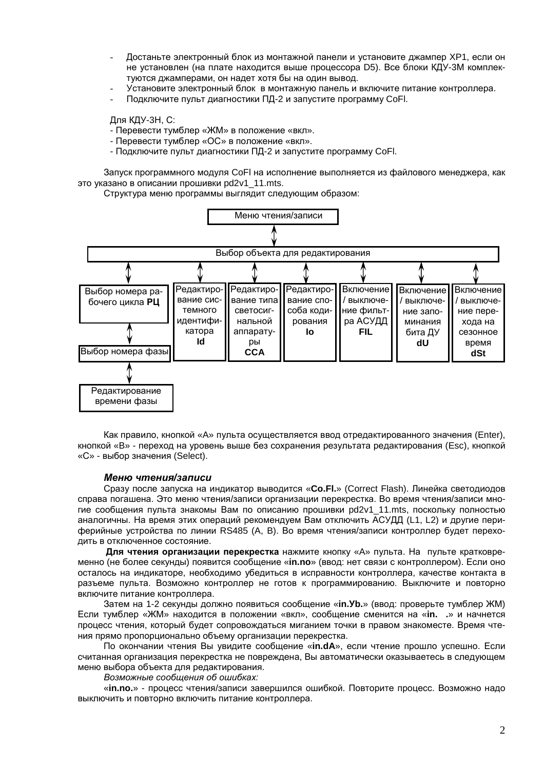- Достаньте электронный блок из монтажной панели и установите джампер XP1, если он не установлен (на плате находится выше процессора D5). Все блоки КДУ-3М комплектуются джамперами, он надет хотя бы на один вывод.
- Установите электронный блок в монтажную панель и включите питание контроллера.
- Подключите пульт диагностики ПД-2 и запустите программу СоFI.

Для КДУ-3Н. С:

- Перевести тумблер «ЖМ» в положение «вкл».
- Перевести тумблер «ОС» в положение «вкл».
- Подключите пульт диагностики ПД-2 и запустите программу СоFI.

Запуск программного модуля СоFI на исполнение выполняется из файлового менеджера, как это указано в описании прошивки pd2v1\_11.mts.

Структура меню программы выглядит следующим образом:



Как правило, кнопкой «А» пульта осуществляется ввод отредактированного значения (Enter), кнопкой «В» - переход на уровень выше без сохранения результата редактирования (Esc), кнопкой «С» - выбор значения (Select).

#### Меню чтения/записи

Сразу после запуска на индикатор выводится «Co.Fl.» (Correct Flash). Линейка светодиодов справа погашена. Это меню чтения/записи организации перекрестка. Во время чтения/записи многие сообщения пульта знакомы Вам по описанию прошивки pd2v1 11.mts, поскольку полностью аналогичны. На время этих операций рекомендуем Вам отключить АСУДД (L1, L2) и другие периферийные устройства по линии RS485 (A, B). Во время чтения/записи контроллер будет переходить в отключенное состояние.

Для чтения организации перекрестка нажмите кнопку «А» пульта. На пульте кратковременно (не более секунды) появится сообщение «in.no» (ввод: нет связи с контроллером). Если оно осталось на индикаторе, необходимо убедиться в исправности контроллера, качестве контакта в разъеме пульта. Возможно контроллер не готов к программированию. Выключите и повторно включите питание контроллера.

Затем на 1-2 секунды должно появиться сообщение «in. Уb.» (ввод: проверьте тумблер ЖМ) Если тумблер «ЖМ» находится в положении «вкл», сообщение сменится на «in. .» и начнется процесс чтения, который будет сопровождаться миганием точки в правом знакоместе. Время чтения прямо пропорционально объему организации перекрестка.

По окончании чтения Вы увидите сообщение «in.dA», если чтение прошло успешно. Если считанная организация перекрестка не повреждена, Вы автоматически оказываетесь в следующем меню выбора объекта для редактирования.

Возможные сообщения об ошибках:

«in.no.» - процесс чтения/записи завершился ошибкой. Повторите процесс. Возможно надо выключить и повторно включить питание контроллера.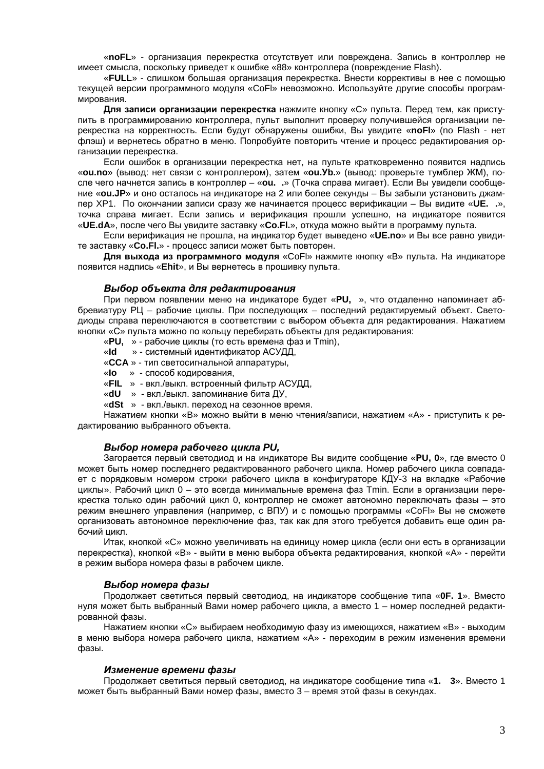«noFL» - организация перекрестка отсутствует или повреждена. Запись в контроллер не имеет смысла, поскольку приведет к ошибке «88» контроллера (повреждение Flash).

«FULL» - слишком большая организация перекрестка. Внести коррективы в нее с помощью текущей версии программного модуля «СоFI» невозможно. Используйте другие способы программирования.

Для записи организации перекрестка нажмите кнопку «С» пульта. Перед тем, как приступить в программированию контроллера, пульт выполнит проверку получившейся организации перекрестка на корректность. Если будут обнаружены ошибки, Вы увидите «noFl» (no Flash - нет флэш) и вернетесь обратно в меню. Попробуйте повторить чтение и процесс редактирования организации перекрестка.

Если ошибок в организации перекрестка нет, на пульте кратковременно появится надпись «ou.no» (вывод: нет связи с контроллером), затем «ou.Уb.» (вывод: проверьте тумблер ЖМ), после чего начнется запись в контроллер - «ou. .» (Точка справа мигает). Если Вы увидели сообщение «ou.JP» и оно осталось на индикаторе на 2 или более секунды - Вы забыли установить джампер ХР1. По окончании записи сразу же начинается процесс верификации - Вы видите «UE. .», точка справа мигает. Если запись и верификация прошли успешно, на индикаторе появится «UE.dA», после чего Вы увидите заставку «Со.FI.», откуда можно выйти в программу пульта.

Если верификация не прошла, на индикатор будет выведено «**UE.no**» и Вы все равно увидите заставку «Со. Fl.» - процесс записи может быть повторен.

Для выхода из программного модуля «Со Fl» нажмите кнопку «В» пульта. На индикаторе появится надпись «Ehit», и Вы вернетесь в прошивку пульта.

#### Выбор объекта для редактирования

При первом появлении меню на индикаторе будет «PU, », что отдаленно напоминает аббревиатуру РЦ - рабочие циклы. При последующих - последний редактируемый объект. Светодиоды справа переключаются в соответствии с выбором объекта для редактирования. Нажатием кнопки «С» пульта можно по кольцу перебирать объекты для редактирования:

«PU. » - рабочие циклы (то есть времена фаз и Tmin).

«Id » - системный идентификатор АСУДД,

«ССА» - тип светосигнальной аппаратуры,

«Io » - способ кодирования,

«FIL » - вкл./выкл. встроенный фильтр АСУДД,

«dU » - вкл./выкл. запоминание бита ДУ,

«dSt » - вкл./выкл. переход на сезонное время.

Нажатием кнопки «В» можно выйти в меню чтения/записи, нажатием «А» - приступить к редактированию выбранного объекта.

## Выбор номера рабочего цикла PU,

Загорается первый светодиод и на индикаторе Вы видите сообщение «PU, 0», где вместо 0 может быть номер последнего редактированного рабочего цикла. Номер рабочего цикла совпадает с порядковым номером строки рабочего цикла в конфигураторе КДУ-3 на вкладке «Рабочие циклы». Рабочий цикл 0 - это всегда минимальные времена фаз Tmin. Если в организации перекрестка только один рабочий цикл 0, контроллер не сможет автономно переключать фазы - это режим внешнего управления (например, с ВПУ) и с помощью программы «СоFI» Вы не сможете организовать автономное переключение фаз, так как для этого требуется добавить еще один рабочий цикл.

Итак, кнопкой «С» можно увеличивать на единицу номер цикла (если они есть в организации перекрестка), кнопкой «В» - выйти в меню выбора объекта редактирования, кнопкой «А» - перейти в режим выбора номера фазы в рабочем цикле.

#### Выбор номера фазы

Продолжает светиться первый светодиод, на индикаторе сообщение типа «ОF, 1». Вместо нуля может быть выбранный Вами номер рабочего цикла, а вместо 1 - номер последней редактированной фазы.

Нажатием кнопки «С» выбираем необходимую фазу из имеющихся, нажатием «В» - выходим в меню выбора номера рабочего цикла, нажатием «А» - переходим в режим изменения времени фазы.

#### Изменение времени фазы

Продолжает светиться первый светодиод, на индикаторе сообщение типа «1. 3». Вместо 1 может быть выбранный Вами номер фазы, вместо 3 - время этой фазы в секундах.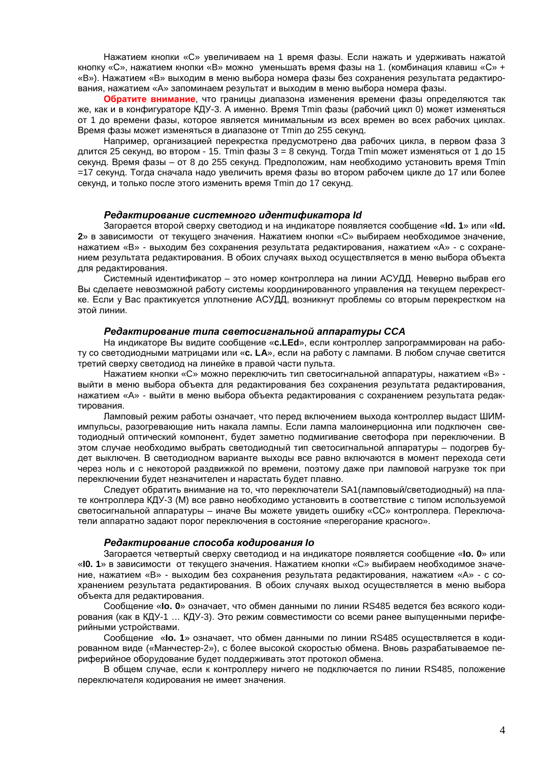Нажатием кнопки «С» увеличиваем на 1 время фазы. Если нажать и удерживать нажатой кнопку «С», нажатием кнопки «В» можно уменьшать время фазы на 1. (комбинация клавиш «С» + «В»). Нажатием «В» выходим в меню выбора номера фазы без сохранения результата редактирования, нажатием «А» запоминаем результат и выходим в меню выбора номера фазы.

Обратите внимание, что границы диапазона изменения времени фазы определяются так же, как и в конфигураторе КДУ-3. А именно. Время Tmin фазы (рабочий цикл 0) может изменяться от 1 до времени фазы, которое является минимальным из всех времен во всех рабочих циклах. Время фазы может изменяться в диапазоне от Tmin до 255 секунд.

Например, организацией перекрестка предусмотрено два рабочих цикла, в первом фаза 3 длится 25 секунд, во втором - 15. Tmin фазы 3 = 8 секунд. Тогда Tmin может изменяться от 1 до 15 секунд. Время фазы - от 8 до 255 секунд. Предположим, нам необходимо установить время Tmin =17 секунд. Тогда сначала надо увеличить время фазы во втором рабочем цикле до 17 или более секунд, и только после этого изменить время Tmin до 17 секунд.

## Редактирование системного идентификатора Id

Загорается второй сверху светодиод и на индикаторе появляется сообщение «Id. 1» или «Id. 2» в зависимости от текущего значения. Нажатием кнопки «С» выбираем необходимое значение. нажатием «В» - выходим без сохранения результата редактирования, нажатием «А» - с сохранением результата редактирования. В обоих случаях выход осуществляется в меню выбора объекта для редактирования.

Системный идентификатор - это номер контроллера на линии АСУДД. Неверно выбрав его Вы сделаете невозможной работу системы координированного управления на текущем перекрестке. Если у Вас практикуется уплотнение АСУДД, возникнут проблемы со вторым перекрестком на этой линии.

#### Редактирование типа светосигнальной аппаратуры ССА

На индикаторе Вы видите сообщение «c.LEd», если контроллер запрограммирован на работу со светодиодными матрицами или «c. LA», если на работу с лампами. В любом случае светится третий сверху светодиод на линейке в правой части пульта.

Нажатием кнопки «С» можно переключить тип светосигнальной аппаратуры, нажатием «В» выйти в меню выбора объекта для редактирования без сохранения результата редактирования. нажатием «А» - выйти в меню выбора объекта редактирования с сохранением результата редактирования.

Ламповый режим работы означает, что перед включением выхода контроллер выдаст ШИМимпульсы, разогревающие нить накала лампы. Если лампа малоинерционна или подключен светодиодный оптический компонент, будет заметно подмигивание светофора при переключении. В этом случае необходимо выбрать светодиодный тип светосигнальной аппаратуры - подогрев будет выключен. В светодиодном варианте выходы все равно включаются в момент перехода сети через ноль и с некоторой раздвижкой по времени, поэтому даже при ламповой нагрузке ток при переключении будет незначителен и нарастать будет плавно.

Следует обратить внимание на то, что переключатели SA1 (ламповый/светодиодный) на плате контроллера КДУ-3 (M) все равно необходимо установить в соответствие с типом используемой светосигнальной аппаратуры - иначе Вы можете увидеть ошибку «СС» контроллера. Переключатели аппаратно задают порог переключения в состояние «перегорание красного».

#### Редактирование способа кодирования Іо

Загорается четвертый сверху светодиод и на индикаторе появляется сообщение «Io. 0» или «10. 1» в зависимости от текущего значения. Нажатием кнопки «С» выбираем необходимое значение, нажатием «В» - выходим без сохранения результата редактирования, нажатием «А» - с сохранением результата редактирования. В обоих случаях выход осуществляется в меню выбора объекта для редактирования.

Сообщение «Io. 0» означает, что обмен данными по линии RS485 ведется без всякого кодирования (как в КДУ-1 ... КДУ-3). Это режим совместимости со всеми ранее выпушенными периферийными устройствами.

Сообщение «Io. 1» означает, что обмен данными по линии RS485 осуществляется в кодированном виде («Манчестер-2»), с более высокой скоростью обмена. Вновь разрабатываемое периферийное оборудование будет поддерживать этот протокол обмена.

В общем случае, если к контроллеру ничего не подключается по линии RS485, положение переключателя кодирования не имеет значения.